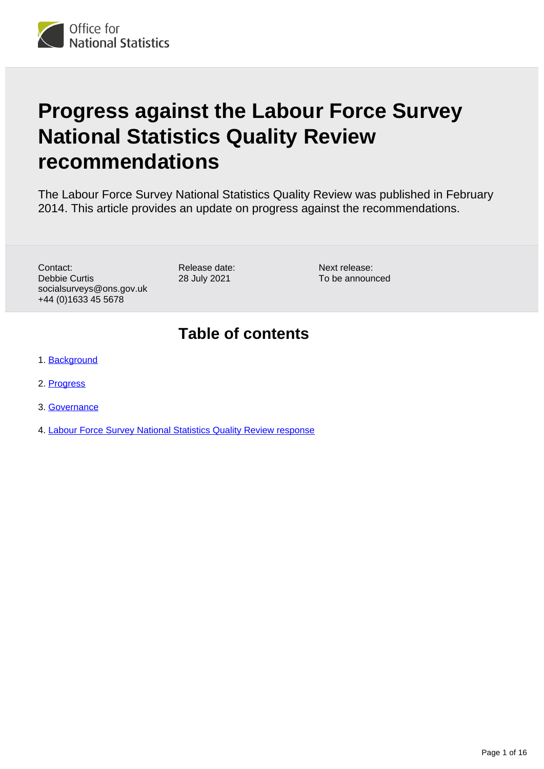# **Progress against the Labour Force Survey National Statistics Quality Review recommendations**

The Labour Force Survey National Statistics Quality Review was published in February 2014. This article provides an update on progress against the recommendations.

Contact: Debbie Curtis socialsurveys@ons.gov.uk +44 (0)1633 45 5678

Release date: 28 July 2021

Next release: To be announced

# **Table of contents**

- 1. [Background](#page-1-0)
- 2. [Progress](#page-1-1)
- 3. [Governance](#page-1-2)
- 4. [Labour Force Survey National Statistics Quality Review response](#page-2-0)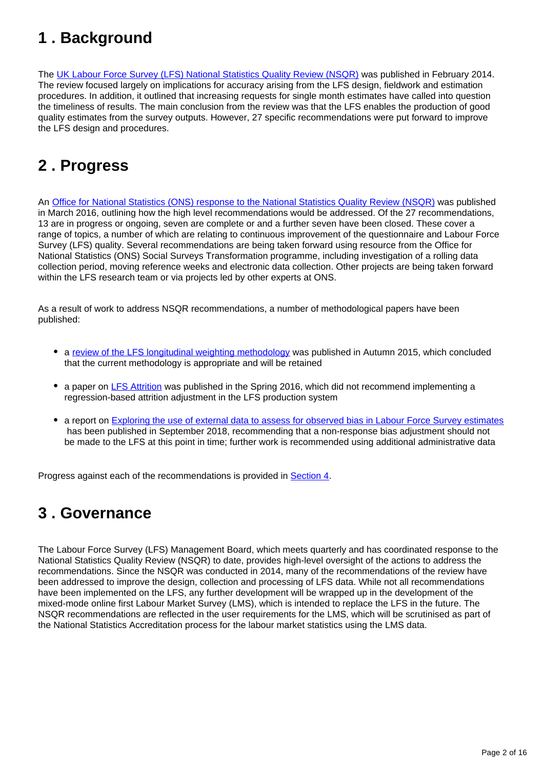# <span id="page-1-0"></span>**1 . Background**

The [UK Labour Force Survey \(LFS\) National Statistics Quality Review \(NSQR\)](https://webarchive.nationalarchives.gov.uk/20160106063207/http:/www.ons.gov.uk/ons/guide-method/method-quality/quality/quality-reviews/list-of-current-national-statistics-quality-reviews/nsqr-series--2--report-no--1/report---review-of-the-labour-force-survey.pdf) was published in February 2014. The review focused largely on implications for accuracy arising from the LFS design, fieldwork and estimation procedures. In addition, it outlined that increasing requests for single month estimates have called into question the timeliness of results. The main conclusion from the review was that the LFS enables the production of good quality estimates from the survey outputs. However, 27 specific recommendations were put forward to improve the LFS design and procedures.

# <span id="page-1-1"></span>**2 . Progress**

An [Office for National Statistics \(ONS\) response to the National Statistics Quality Review \(NSQR\)](https://www.ons.gov.uk/file?uri=/methodology/methodologytopicsandstatisticalconcepts/qualityinofficialstatistics/qualityreviews/publishednsqrresponsemarch2016.pdf) was published in March 2016, outlining how the high level recommendations would be addressed. Of the 27 recommendations, 13 are in progress or ongoing, seven are complete or and a further seven have been closed. These cover a range of topics, a number of which are relating to continuous improvement of the questionnaire and Labour Force Survey (LFS) quality. Several recommendations are being taken forward using resource from the Office for National Statistics (ONS) Social Surveys Transformation programme, including investigation of a rolling data collection period, moving reference weeks and electronic data collection. Other projects are being taken forward within the LFS research team or via projects led by other experts at ONS.

As a result of work to address NSQR recommendations, a number of methodological papers have been published:

- a [review of the LFS longitudinal weighting methodology](https://webarchive.nationalarchives.gov.uk/20160106185738/http:/www.ons.gov.uk/ons/guide-method/method-quality/survey-methodology-bulletin/index.html) was published in Autumn 2015, which concluded that the current methodology is appropriate and will be retained
- a paper on [LFS Attrition](https://webarchive.nationalarchives.gov.uk/20160106063207/http:/www.ons.gov.uk/ons/guide-method/method-quality/quality/quality-reviews/list-of-current-national-statistics-quality-reviews/nsqr-series--2--report-no--1/report---review-of-the-labour-force-survey.pdf) was published in the Spring 2016, which did not recommend implementing a regression-based attrition adjustment in the LFS production system
- a report on [Exploring the use of external data to assess for observed bias in Labour Force Survey estimates](https://www.ons.gov.uk/employmentandlabourmarket/peopleinwork/employmentandemployeetypes/methodologies/exploringtheuseofexternaldatatoassessforobservedbiasinlabourforcesurveyestimatesinterimfindings) has been published in September 2018, recommending that a non-response bias adjustment should not be made to the LFS at this point in time; further work is recommended using additional administrative data

Progress against each of the recommendations is provided in [Section 4](https://publishing.ons.gov.uk/employmentandlabourmarket/peopleinwork/employmentandemployeetypes/methodologies/progressagainstthelabourforcesurveynationalstatisticsqualityreviewrecommendations#labour-force-survey-national-statistics-quality-review-response).

# <span id="page-1-2"></span>**3 . Governance**

The Labour Force Survey (LFS) Management Board, which meets quarterly and has coordinated response to the National Statistics Quality Review (NSQR) to date, provides high-level oversight of the actions to address the recommendations. Since the NSQR was conducted in 2014, many of the recommendations of the review have been addressed to improve the design, collection and processing of LFS data. While not all recommendations have been implemented on the LFS, any further development will be wrapped up in the development of the mixed-mode online first Labour Market Survey (LMS), which is intended to replace the LFS in the future. The NSQR recommendations are reflected in the user requirements for the LMS, which will be scrutinised as part of the National Statistics Accreditation process for the labour market statistics using the LMS data.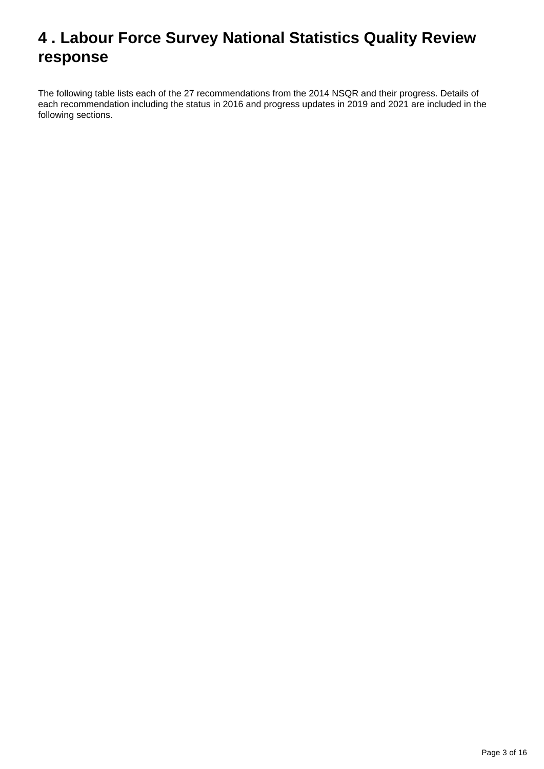# <span id="page-2-0"></span>**4 . Labour Force Survey National Statistics Quality Review response**

The following table lists each of the 27 recommendations from the 2014 NSQR and their progress. Details of each recommendation including the status in 2016 and progress updates in 2019 and 2021 are included in the following sections.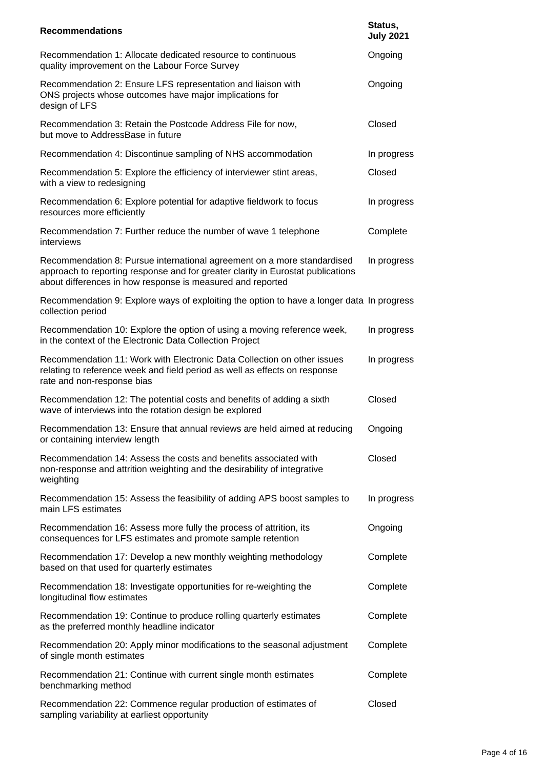| <b>Recommendations</b>                                                                                                                                                                                                   | Status,<br><b>July 2021</b> |
|--------------------------------------------------------------------------------------------------------------------------------------------------------------------------------------------------------------------------|-----------------------------|
| Recommendation 1: Allocate dedicated resource to continuous<br>quality improvement on the Labour Force Survey                                                                                                            | Ongoing                     |
| Recommendation 2: Ensure LFS representation and liaison with<br>ONS projects whose outcomes have major implications for<br>design of LFS                                                                                 | Ongoing                     |
| Recommendation 3: Retain the Postcode Address File for now,<br>but move to AddressBase in future                                                                                                                         | Closed                      |
| Recommendation 4: Discontinue sampling of NHS accommodation                                                                                                                                                              | In progress                 |
| Recommendation 5: Explore the efficiency of interviewer stint areas,<br>with a view to redesigning                                                                                                                       | Closed                      |
| Recommendation 6: Explore potential for adaptive fieldwork to focus<br>resources more efficiently                                                                                                                        | In progress                 |
| Recommendation 7: Further reduce the number of wave 1 telephone<br>interviews                                                                                                                                            | Complete                    |
| Recommendation 8: Pursue international agreement on a more standardised<br>approach to reporting response and for greater clarity in Eurostat publications<br>about differences in how response is measured and reported | In progress                 |
| Recommendation 9: Explore ways of exploiting the option to have a longer data In progress<br>collection period                                                                                                           |                             |
| Recommendation 10: Explore the option of using a moving reference week,<br>in the context of the Electronic Data Collection Project                                                                                      | In progress                 |
| Recommendation 11: Work with Electronic Data Collection on other issues<br>relating to reference week and field period as well as effects on response<br>rate and non-response bias                                      | In progress                 |
| Recommendation 12: The potential costs and benefits of adding a sixth<br>wave of interviews into the rotation design be explored                                                                                         | Closed                      |
| Recommendation 13: Ensure that annual reviews are held aimed at reducing  Ongoing<br>or containing interview length                                                                                                      |                             |
| Recommendation 14: Assess the costs and benefits associated with<br>non-response and attrition weighting and the desirability of integrative<br>weighting                                                                | Closed                      |
| Recommendation 15: Assess the feasibility of adding APS boost samples to<br>main LFS estimates                                                                                                                           | In progress                 |
| Recommendation 16: Assess more fully the process of attrition, its<br>consequences for LFS estimates and promote sample retention                                                                                        | Ongoing                     |
| Recommendation 17: Develop a new monthly weighting methodology<br>based on that used for quarterly estimates                                                                                                             | Complete                    |
| Recommendation 18: Investigate opportunities for re-weighting the<br>longitudinal flow estimates                                                                                                                         | Complete                    |
| Recommendation 19: Continue to produce rolling quarterly estimates<br>as the preferred monthly headline indicator                                                                                                        | Complete                    |
| Recommendation 20: Apply minor modifications to the seasonal adjustment<br>of single month estimates                                                                                                                     | Complete                    |
| Recommendation 21: Continue with current single month estimates<br>benchmarking method                                                                                                                                   | Complete                    |
| Recommendation 22: Commence regular production of estimates of<br>sampling variability at earliest opportunity                                                                                                           | Closed                      |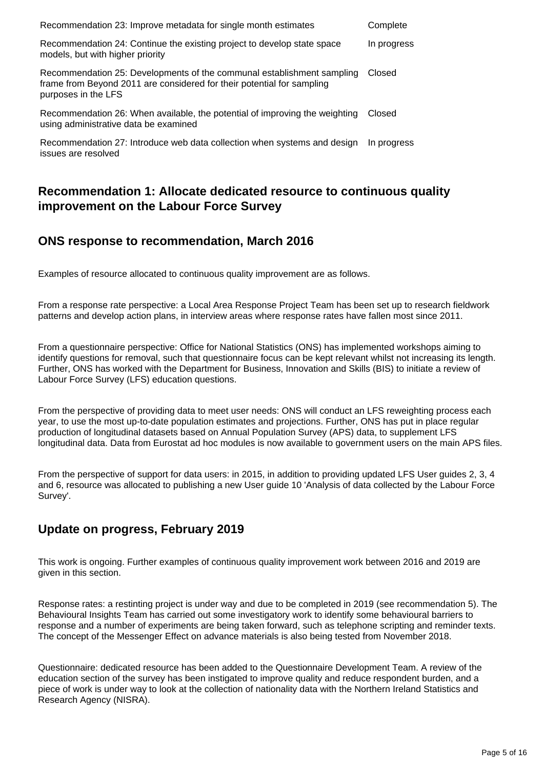| Recommendation 23: Improve metadata for single month estimates                                                                                                          | Complete    |
|-------------------------------------------------------------------------------------------------------------------------------------------------------------------------|-------------|
| Recommendation 24: Continue the existing project to develop state space<br>models, but with higher priority                                                             | In progress |
| Recommendation 25: Developments of the communal establishment sampling<br>frame from Beyond 2011 are considered for their potential for sampling<br>purposes in the LFS | Closed      |
| Recommendation 26: When available, the potential of improving the weighting<br>using administrative data be examined                                                    | Closed      |
| Recommendation 27: Introduce web data collection when systems and design<br>issues are resolved                                                                         | In progress |

# **Recommendation 1: Allocate dedicated resource to continuous quality improvement on the Labour Force Survey**

#### **ONS response to recommendation, March 2016**

Examples of resource allocated to continuous quality improvement are as follows.

From a response rate perspective: a Local Area Response Project Team has been set up to research fieldwork patterns and develop action plans, in interview areas where response rates have fallen most since 2011.

From a questionnaire perspective: Office for National Statistics (ONS) has implemented workshops aiming to identify questions for removal, such that questionnaire focus can be kept relevant whilst not increasing its length. Further, ONS has worked with the Department for Business, Innovation and Skills (BIS) to initiate a review of Labour Force Survey (LFS) education questions.

From the perspective of providing data to meet user needs: ONS will conduct an LFS reweighting process each year, to use the most up-to-date population estimates and projections. Further, ONS has put in place regular production of longitudinal datasets based on Annual Population Survey (APS) data, to supplement LFS longitudinal data. Data from Eurostat ad hoc modules is now available to government users on the main APS files.

From the perspective of support for data users: in 2015, in addition to providing updated LFS User guides 2, 3, 4 and 6, resource was allocated to publishing a new User guide 10 'Analysis of data collected by the Labour Force Survey'.

# **Update on progress, February 2019**

This work is ongoing. Further examples of continuous quality improvement work between 2016 and 2019 are given in this section.

Response rates: a restinting project is under way and due to be completed in 2019 (see recommendation 5). The Behavioural Insights Team has carried out some investigatory work to identify some behavioural barriers to response and a number of experiments are being taken forward, such as telephone scripting and reminder texts. The concept of the Messenger Effect on advance materials is also being tested from November 2018.

Questionnaire: dedicated resource has been added to the Questionnaire Development Team. A review of the education section of the survey has been instigated to improve quality and reduce respondent burden, and a piece of work is under way to look at the collection of nationality data with the Northern Ireland Statistics and Research Agency (NISRA).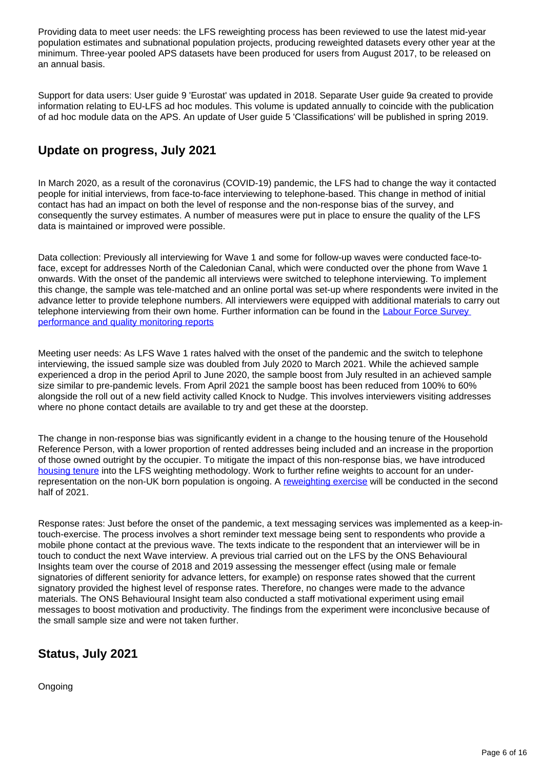Providing data to meet user needs: the LFS reweighting process has been reviewed to use the latest mid-year population estimates and subnational population projects, producing reweighted datasets every other year at the minimum. Three-year pooled APS datasets have been produced for users from August 2017, to be released on an annual basis.

Support for data users: User guide 9 'Eurostat' was updated in 2018. Separate User guide 9a created to provide information relating to EU-LFS ad hoc modules. This volume is updated annually to coincide with the publication of ad hoc module data on the APS. An update of User guide 5 'Classifications' will be published in spring 2019.

# **Update on progress, July 2021**

In March 2020, as a result of the coronavirus (COVID-19) pandemic, the LFS had to change the way it contacted people for initial interviews, from face-to-face interviewing to telephone-based. This change in method of initial contact has had an impact on both the level of response and the non-response bias of the survey, and consequently the survey estimates. A number of measures were put in place to ensure the quality of the LFS data is maintained or improved were possible.

Data collection: Previously all interviewing for Wave 1 and some for follow-up waves were conducted face-toface, except for addresses North of the Caledonian Canal, which were conducted over the phone from Wave 1 onwards. With the onset of the pandemic all interviews were switched to telephone interviewing. To implement this change, the sample was tele-matched and an online portal was set-up where respondents were invited in the advance letter to provide telephone numbers. All interviewers were equipped with additional materials to carry out telephone interviewing from their own home. Further information can be found in the Labour Force Survey [performance and quality monitoring reports](https://www.ons.gov.uk/employmentandlabourmarket/peopleinwork/employmentandemployeetypes/methodologies/labourforcesurveyperformanceandqualitymonitoringreports)

Meeting user needs: As LFS Wave 1 rates halved with the onset of the pandemic and the switch to telephone interviewing, the issued sample size was doubled from July 2020 to March 2021. While the achieved sample experienced a drop in the period April to June 2020, the sample boost from July resulted in an achieved sample size similar to pre-pandemic levels. From April 2021 the sample boost has been reduced from 100% to 60% alongside the roll out of a new field activity called Knock to Nudge. This involves interviewers visiting addresses where no phone contact details are available to try and get these at the doorstep.

The change in non-response bias was significantly evident in a change to the housing tenure of the Household Reference Person, with a lower proportion of rented addresses being included and an increase in the proportion of those owned outright by the occupier. To mitigate the impact of this non-response bias, we have introduced [housing tenure](https://www.ons.gov.uk/employmentandlabourmarket/peopleinwork/employmentandemployeetypes/articles/coronavirusanditsimpactonthelabourforcesurvey/2020-10-13) into the LFS weighting methodology. Work to further refine weights to account for an underrepresentation on the non-UK born population is ongoing. A [reweighting exercise](https://www.ons.gov.uk/employmentandlabourmarket/peopleinwork/employmentandemployeetypes/methodologies/labourforcesurveyweightingmethodology) will be conducted in the second half of 2021.

Response rates: Just before the onset of the pandemic, a text messaging services was implemented as a keep-intouch-exercise. The process involves a short reminder text message being sent to respondents who provide a mobile phone contact at the previous wave. The texts indicate to the respondent that an interviewer will be in touch to conduct the next Wave interview. A previous trial carried out on the LFS by the ONS Behavioural Insights team over the course of 2018 and 2019 assessing the messenger effect (using male or female signatories of different seniority for advance letters, for example) on response rates showed that the current signatory provided the highest level of response rates. Therefore, no changes were made to the advance materials. The ONS Behavioural Insight team also conducted a staff motivational experiment using email messages to boost motivation and productivity. The findings from the experiment were inconclusive because of the small sample size and were not taken further.

# **Status, July 2021**

Ongoing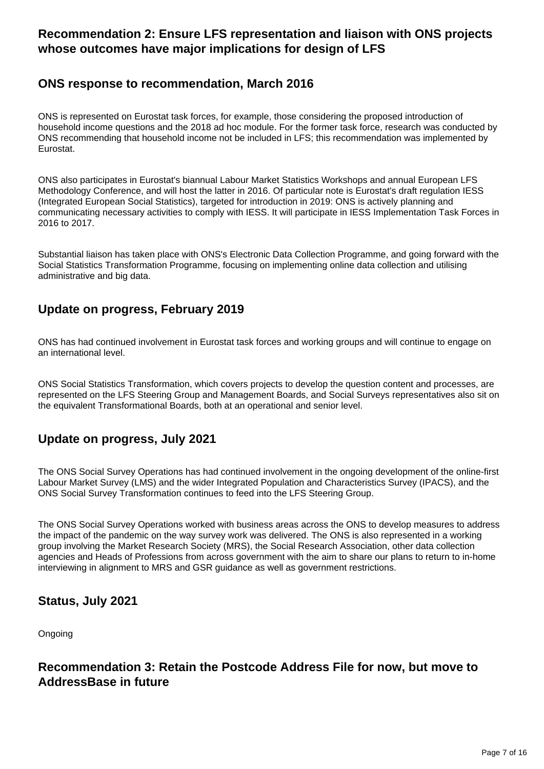# **Recommendation 2: Ensure LFS representation and liaison with ONS projects whose outcomes have major implications for design of LFS**

# **ONS response to recommendation, March 2016**

ONS is represented on Eurostat task forces, for example, those considering the proposed introduction of household income questions and the 2018 ad hoc module. For the former task force, research was conducted by ONS recommending that household income not be included in LFS; this recommendation was implemented by Eurostat.

ONS also participates in Eurostat's biannual Labour Market Statistics Workshops and annual European LFS Methodology Conference, and will host the latter in 2016. Of particular note is Eurostat's draft regulation IESS (Integrated European Social Statistics), targeted for introduction in 2019: ONS is actively planning and communicating necessary activities to comply with IESS. It will participate in IESS Implementation Task Forces in 2016 to 2017.

Substantial liaison has taken place with ONS's Electronic Data Collection Programme, and going forward with the Social Statistics Transformation Programme, focusing on implementing online data collection and utilising administrative and big data.

# **Update on progress, February 2019**

ONS has had continued involvement in Eurostat task forces and working groups and will continue to engage on an international level.

ONS Social Statistics Transformation, which covers projects to develop the question content and processes, are represented on the LFS Steering Group and Management Boards, and Social Surveys representatives also sit on the equivalent Transformational Boards, both at an operational and senior level.

# **Update on progress, July 2021**

The ONS Social Survey Operations has had continued involvement in the ongoing development of the online-first Labour Market Survey (LMS) and the wider Integrated Population and Characteristics Survey (IPACS), and the ONS Social Survey Transformation continues to feed into the LFS Steering Group.

The ONS Social Survey Operations worked with business areas across the ONS to develop measures to address the impact of the pandemic on the way survey work was delivered. The ONS is also represented in a working group involving the Market Research Society (MRS), the Social Research Association, other data collection agencies and Heads of Professions from across government with the aim to share our plans to return to in-home interviewing in alignment to MRS and GSR guidance as well as government restrictions.

# **Status, July 2021**

Ongoing

# **Recommendation 3: Retain the Postcode Address File for now, but move to AddressBase in future**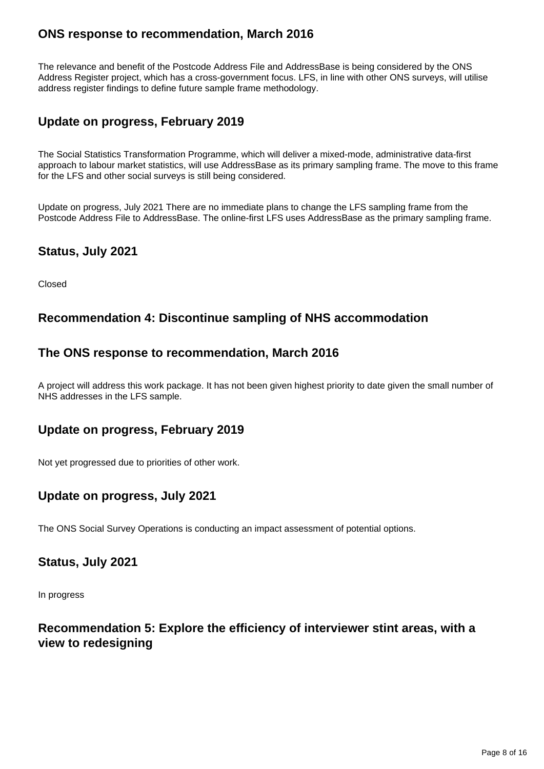# **ONS response to recommendation, March 2016**

The relevance and benefit of the Postcode Address File and AddressBase is being considered by the ONS Address Register project, which has a cross-government focus. LFS, in line with other ONS surveys, will utilise address register findings to define future sample frame methodology.

# **Update on progress, February 2019**

The Social Statistics Transformation Programme, which will deliver a mixed-mode, administrative data-first approach to labour market statistics, will use AddressBase as its primary sampling frame. The move to this frame for the LFS and other social surveys is still being considered.

Update on progress, July 2021 There are no immediate plans to change the LFS sampling frame from the Postcode Address File to AddressBase. The online-first LFS uses AddressBase as the primary sampling frame.

#### **Status, July 2021**

Closed

#### **Recommendation 4: Discontinue sampling of NHS accommodation**

#### **The ONS response to recommendation, March 2016**

A project will address this work package. It has not been given highest priority to date given the small number of NHS addresses in the LFS sample.

#### **Update on progress, February 2019**

Not yet progressed due to priorities of other work.

# **Update on progress, July 2021**

The ONS Social Survey Operations is conducting an impact assessment of potential options.

#### **Status, July 2021**

In progress

# **Recommendation 5: Explore the efficiency of interviewer stint areas, with a view to redesigning**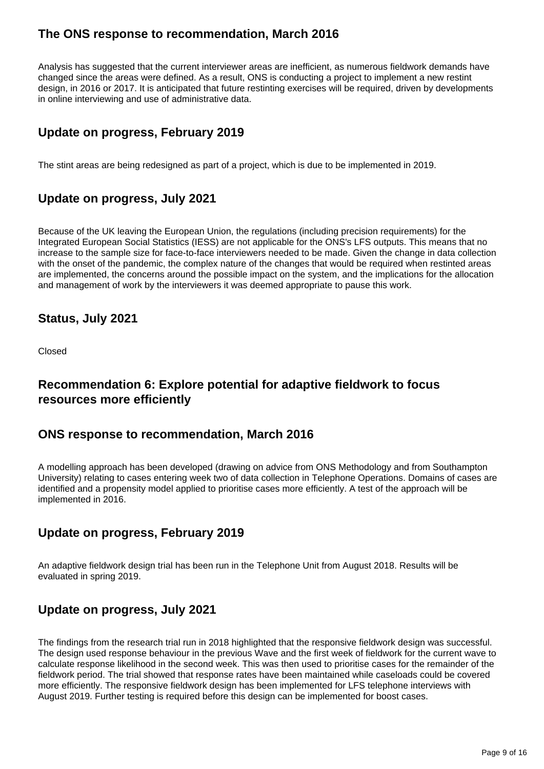# **The ONS response to recommendation, March 2016**

Analysis has suggested that the current interviewer areas are inefficient, as numerous fieldwork demands have changed since the areas were defined. As a result, ONS is conducting a project to implement a new restint design, in 2016 or 2017. It is anticipated that future restinting exercises will be required, driven by developments in online interviewing and use of administrative data.

# **Update on progress, February 2019**

The stint areas are being redesigned as part of a project, which is due to be implemented in 2019.

# **Update on progress, July 2021**

Because of the UK leaving the European Union, the regulations (including precision requirements) for the Integrated European Social Statistics (IESS) are not applicable for the ONS's LFS outputs. This means that no increase to the sample size for face-to-face interviewers needed to be made. Given the change in data collection with the onset of the pandemic, the complex nature of the changes that would be required when restinted areas are implemented, the concerns around the possible impact on the system, and the implications for the allocation and management of work by the interviewers it was deemed appropriate to pause this work.

# **Status, July 2021**

Closed

# **Recommendation 6: Explore potential for adaptive fieldwork to focus resources more efficiently**

#### **ONS response to recommendation, March 2016**

A modelling approach has been developed (drawing on advice from ONS Methodology and from Southampton University) relating to cases entering week two of data collection in Telephone Operations. Domains of cases are identified and a propensity model applied to prioritise cases more efficiently. A test of the approach will be implemented in 2016.

# **Update on progress, February 2019**

An adaptive fieldwork design trial has been run in the Telephone Unit from August 2018. Results will be evaluated in spring 2019.

# **Update on progress, July 2021**

The findings from the research trial run in 2018 highlighted that the responsive fieldwork design was successful. The design used response behaviour in the previous Wave and the first week of fieldwork for the current wave to calculate response likelihood in the second week. This was then used to prioritise cases for the remainder of the fieldwork period. The trial showed that response rates have been maintained while caseloads could be covered more efficiently. The responsive fieldwork design has been implemented for LFS telephone interviews with August 2019. Further testing is required before this design can be implemented for boost cases.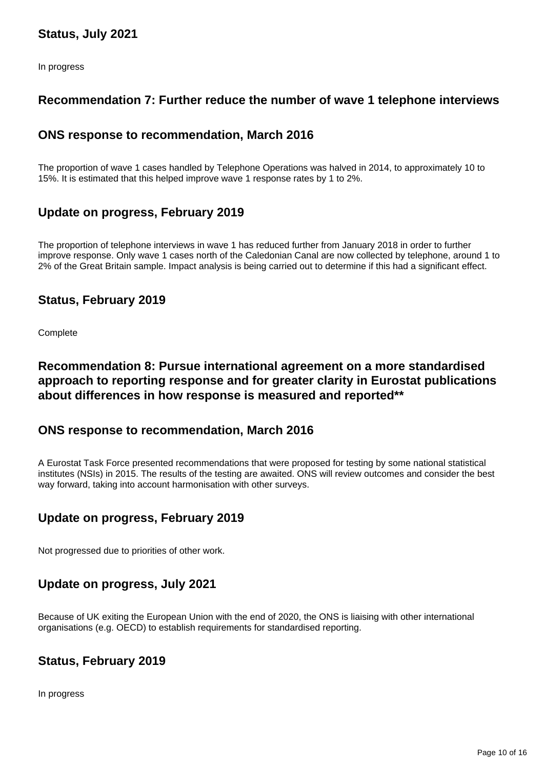# **Status, July 2021**

In progress

#### **Recommendation 7: Further reduce the number of wave 1 telephone interviews**

#### **ONS response to recommendation, March 2016**

The proportion of wave 1 cases handled by Telephone Operations was halved in 2014, to approximately 10 to 15%. It is estimated that this helped improve wave 1 response rates by 1 to 2%.

#### **Update on progress, February 2019**

The proportion of telephone interviews in wave 1 has reduced further from January 2018 in order to further improve response. Only wave 1 cases north of the Caledonian Canal are now collected by telephone, around 1 to 2% of the Great Britain sample. Impact analysis is being carried out to determine if this had a significant effect.

#### **Status, February 2019**

**Complete** 

### **Recommendation 8: Pursue international agreement on a more standardised approach to reporting response and for greater clarity in Eurostat publications about differences in how response is measured and reported\*\***

#### **ONS response to recommendation, March 2016**

A Eurostat Task Force presented recommendations that were proposed for testing by some national statistical institutes (NSIs) in 2015. The results of the testing are awaited. ONS will review outcomes and consider the best way forward, taking into account harmonisation with other surveys.

#### **Update on progress, February 2019**

Not progressed due to priorities of other work.

#### **Update on progress, July 2021**

Because of UK exiting the European Union with the end of 2020, the ONS is liaising with other international organisations (e.g. OECD) to establish requirements for standardised reporting.

#### **Status, February 2019**

In progress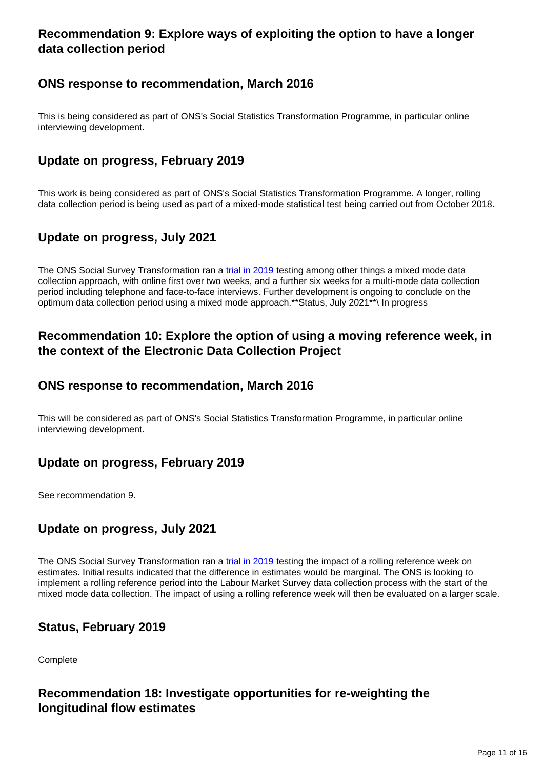# **Recommendation 9: Explore ways of exploiting the option to have a longer data collection period**

# **ONS response to recommendation, March 2016**

This is being considered as part of ONS's Social Statistics Transformation Programme, in particular online interviewing development.

# **Update on progress, February 2019**

This work is being considered as part of ONS's Social Statistics Transformation Programme. A longer, rolling data collection period is being used as part of a mixed-mode statistical test being carried out from October 2018.

# **Update on progress, July 2021**

The ONS Social Survey Transformation ran a [trial in 2019](https://www.ons.gov.uk/employmentandlabourmarket/peopleinwork/employmentandemployeetypes/methodologies/labourmarketsurveytechnicalreport#quantitative-testing-to-date) testing among other things a mixed mode data collection approach, with online first over two weeks, and a further six weeks for a multi-mode data collection period including telephone and face-to-face interviews. Further development is ongoing to conclude on the optimum data collection period using a mixed mode approach.\*\*Status, July 2021\*\*\ In progress

#### **Recommendation 10: Explore the option of using a moving reference week, in the context of the Electronic Data Collection Project**

#### **ONS response to recommendation, March 2016**

This will be considered as part of ONS's Social Statistics Transformation Programme, in particular online interviewing development.

# **Update on progress, February 2019**

See recommendation 9.

# **Update on progress, July 2021**

The ONS Social Survey Transformation ran a [trial in 2019](https://www.ons.gov.uk/employmentandlabourmarket/peopleinwork/employmentandemployeetypes/methodologies/labourmarketsurveytechnicalreport#quantitative-testing-to-date) testing the impact of a rolling reference week on estimates. Initial results indicated that the difference in estimates would be marginal. The ONS is looking to implement a rolling reference period into the Labour Market Survey data collection process with the start of the mixed mode data collection. The impact of using a rolling reference week will then be evaluated on a larger scale.

# **Status, February 2019**

**Complete** 

#### **Recommendation 18: Investigate opportunities for re-weighting the longitudinal flow estimates**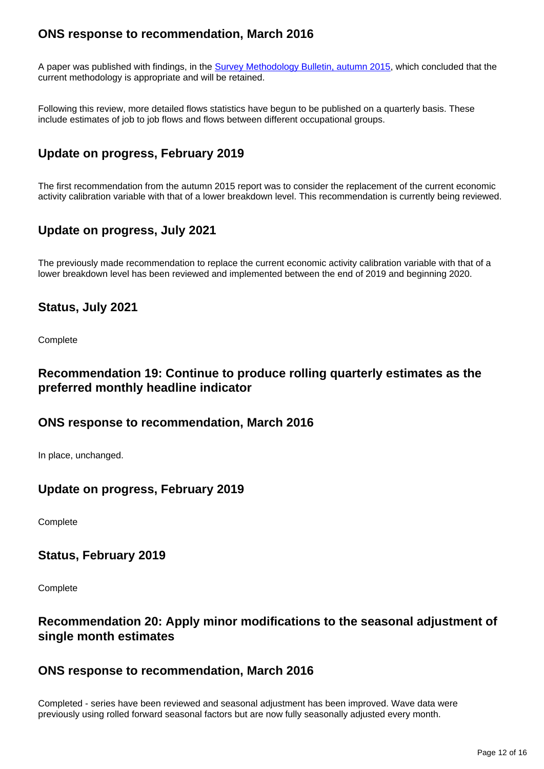# **ONS response to recommendation, March 2016**

A paper was published with findings, in the [Survey Methodology Bulletin, autumn 2015](http://www.ons.gov.uk/ons/guide-method/method-quality/survey-methodology-bulletin/index.html), which concluded that the current methodology is appropriate and will be retained.

Following this review, more detailed flows statistics have begun to be published on a quarterly basis. These include estimates of job to job flows and flows between different occupational groups.

# **Update on progress, February 2019**

The first recommendation from the autumn 2015 report was to consider the replacement of the current economic activity calibration variable with that of a lower breakdown level. This recommendation is currently being reviewed.

#### **Update on progress, July 2021**

The previously made recommendation to replace the current economic activity calibration variable with that of a lower breakdown level has been reviewed and implemented between the end of 2019 and beginning 2020.

#### **Status, July 2021**

**Complete** 

#### **Recommendation 19: Continue to produce rolling quarterly estimates as the preferred monthly headline indicator**

#### **ONS response to recommendation, March 2016**

In place, unchanged.

#### **Update on progress, February 2019**

**Complete** 

#### **Status, February 2019**

**Complete** 

#### **Recommendation 20: Apply minor modifications to the seasonal adjustment of single month estimates**

#### **ONS response to recommendation, March 2016**

Completed - series have been reviewed and seasonal adjustment has been improved. Wave data were previously using rolled forward seasonal factors but are now fully seasonally adjusted every month.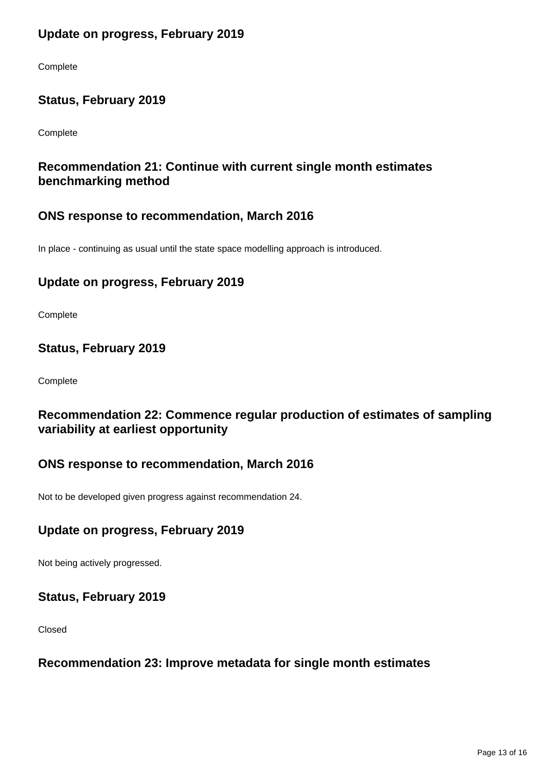# **Update on progress, February 2019**

Complete

# **Status, February 2019**

Complete

# **Recommendation 21: Continue with current single month estimates benchmarking method**

#### **ONS response to recommendation, March 2016**

In place - continuing as usual until the state space modelling approach is introduced.

# **Update on progress, February 2019**

**Complete** 

#### **Status, February 2019**

**Complete** 

# **Recommendation 22: Commence regular production of estimates of sampling variability at earliest opportunity**

# **ONS response to recommendation, March 2016**

Not to be developed given progress against recommendation 24.

# **Update on progress, February 2019**

Not being actively progressed.

#### **Status, February 2019**

Closed

#### **Recommendation 23: Improve metadata for single month estimates**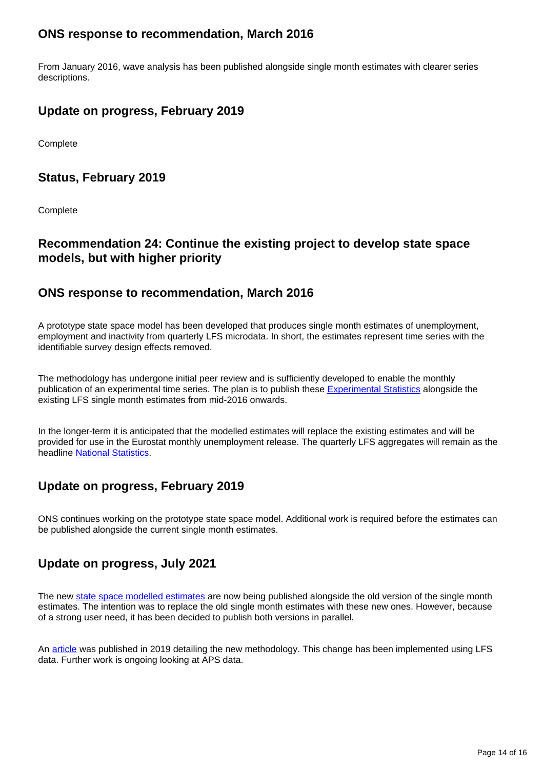# **ONS response to recommendation, March 2016**

From January 2016, wave analysis has been published alongside single month estimates with clearer series descriptions.

# **Update on progress, February 2019**

**Complete** 

#### **Status, February 2019**

**Complete** 

### **Recommendation 24: Continue the existing project to develop state space models, but with higher priority**

#### **ONS response to recommendation, March 2016**

A prototype state space model has been developed that produces single month estimates of unemployment, employment and inactivity from quarterly LFS microdata. In short, the estimates represent time series with the identifiable survey design effects removed.

The methodology has undergone initial peer review and is sufficiently developed to enable the monthly publication of an experimental time series. The plan is to publish these [Experimental Statistics](https://www.ons.gov.uk/methodology/methodologytopicsandstatisticalconcepts/guidetoexperimentalstatistics) alongside the existing LFS single month estimates from mid-2016 onwards.

In the longer-term it is anticipated that the modelled estimates will replace the existing estimates and will be provided for use in the Eurostat monthly unemployment release. The quarterly LFS aggregates will remain as the headline **National Statistics**.

# **Update on progress, February 2019**

ONS continues working on the prototype state space model. Additional work is required before the estimates can be published alongside the current single month estimates.

# **Update on progress, July 2021**

The new [state space modelled estimates](https://www.ons.gov.uk/employmentandlabourmarket/peopleinwork/employmentandemployeetypes/datasets/labourforcesurveysinglemonthestimatesx01) are now being published alongside the old version of the single month estimates. The intention was to replace the old single month estimates with these new ones. However, because of a strong user need, it has been decided to publish both versions in parallel.

An [article](https://www.ons.gov.uk/employmentandlabourmarket/peopleinwork/employmentandemployeetypes/methodologies/experimentalmodelbasedsinglemonthestimatesforthelabourforcesurveymethodsexplained) was published in 2019 detailing the new methodology. This change has been implemented using LFS data. Further work is ongoing looking at APS data.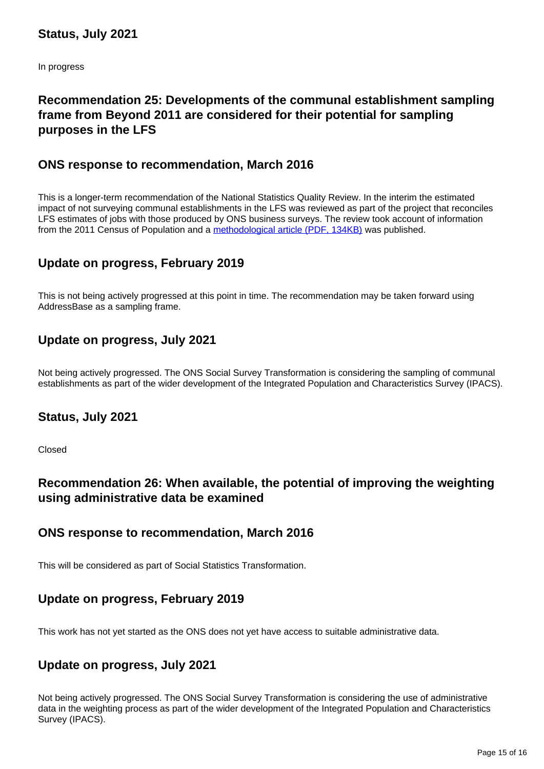In progress

# **Recommendation 25: Developments of the communal establishment sampling frame from Beyond 2011 are considered for their potential for sampling purposes in the LFS**

#### **ONS response to recommendation, March 2016**

This is a longer-term recommendation of the National Statistics Quality Review. In the interim the estimated impact of not surveying communal establishments in the LFS was reviewed as part of the project that reconciles LFS estimates of jobs with those produced by ONS business surveys. The review took account of information from the 2011 Census of Population and a [methodological article \(PDF, 134KB\)](http://webarchive.nationalarchives.gov.uk/20160105160709/http:/www.ons.gov.uk/ons/guide-method/method-quality/specific/labour-market/articles-and-reports/review-of-the-reconciliation-of-ons-jobs-estimates.pdf) was published.

#### **Update on progress, February 2019**

This is not being actively progressed at this point in time. The recommendation may be taken forward using AddressBase as a sampling frame.

#### **Update on progress, July 2021**

Not being actively progressed. The ONS Social Survey Transformation is considering the sampling of communal establishments as part of the wider development of the Integrated Population and Characteristics Survey (IPACS).

#### **Status, July 2021**

Closed

#### **Recommendation 26: When available, the potential of improving the weighting using administrative data be examined**

#### **ONS response to recommendation, March 2016**

This will be considered as part of Social Statistics Transformation.

#### **Update on progress, February 2019**

This work has not yet started as the ONS does not yet have access to suitable administrative data.

#### **Update on progress, July 2021**

Not being actively progressed. The ONS Social Survey Transformation is considering the use of administrative data in the weighting process as part of the wider development of the Integrated Population and Characteristics Survey (IPACS).